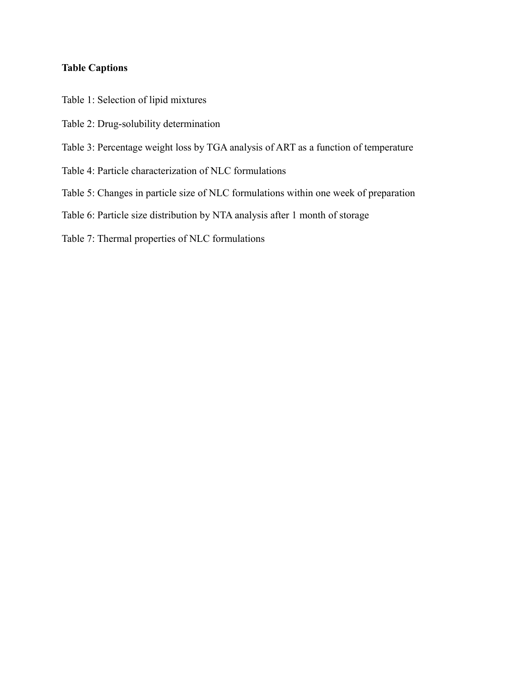## **Table Captions**

Table 1: Selection of lipid mixtures

- Table 2: Drug-solubility determination
- Table 3: Percentage weight loss by TGA analysis of ART as a function of temperature
- Table 4: Particle characterization of NLC formulations
- Table 5: Changes in particle size of NLC formulations within one week of preparation
- Table 6: Particle size distribution by NTA analysis after 1 month of storage

Table 7: Thermal properties of NLC formulations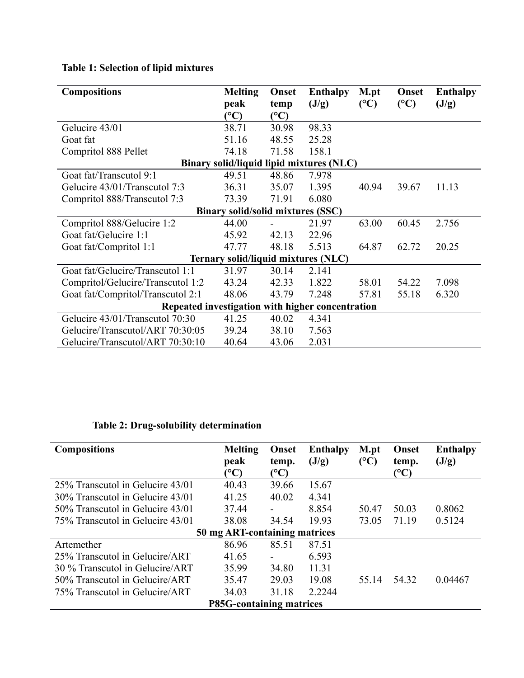| <b>Compositions</b>                              | <b>Melting</b>                           | Onset | <b>Enthalpy</b>                            | M.pt           | Onset | <b>Enthalpy</b> |  |
|--------------------------------------------------|------------------------------------------|-------|--------------------------------------------|----------------|-------|-----------------|--|
|                                                  | peak                                     | temp  | (J/g)                                      | $(C^{\circ}C)$ | (C)   | (J/g)           |  |
|                                                  | $\rm ^{(o}C)$                            | (C)   |                                            |                |       |                 |  |
| Gelucire 43/01                                   | 38.71                                    | 30.98 | 98.33                                      |                |       |                 |  |
| Goat fat                                         | 51.16                                    | 48.55 | 25.28                                      |                |       |                 |  |
| Compritol 888 Pellet                             | 74.18                                    | 71.58 | 158.1                                      |                |       |                 |  |
|                                                  |                                          |       | Binary solid/liquid lipid mixtures (NLC)   |                |       |                 |  |
| Goat fat/Transcutol 9:1                          | 49.51                                    | 48.86 | 7.978                                      |                |       |                 |  |
| Gelucire 43/01/Transcutol 7:3                    | 36.31                                    | 35.07 | 1.395                                      | 40.94          | 39.67 | 11.13           |  |
| Compritol 888/Transcutol 7:3                     | 73.39                                    | 71.91 | 6.080                                      |                |       |                 |  |
|                                                  | <b>Binary solid/solid mixtures (SSC)</b> |       |                                            |                |       |                 |  |
| Compritol 888/Gelucire 1:2                       | 44.00                                    |       | 21.97                                      | 63.00          | 60.45 | 2.756           |  |
| Goat fat/Gelucire 1:1                            | 45.92                                    | 42.13 | 22.96                                      |                |       |                 |  |
| Goat fat/Compritol 1:1                           | 47.77                                    | 48.18 | 5.513                                      | 64.87          | 62.72 | 20.25           |  |
|                                                  |                                          |       | <b>Ternary solid/liquid mixtures (NLC)</b> |                |       |                 |  |
| Goat fat/Gelucire/Transcutol 1:1                 | 31.97                                    | 30.14 | 2.141                                      |                |       |                 |  |
| Compritol/Gelucire/Transcutol 1:2                | 43.24                                    | 42.33 | 1.822                                      | 58.01          | 54.22 | 7.098           |  |
| Goat fat/Compritol/Transcutol 2:1                | 48.06                                    | 43.79 | 7.248                                      | 57.81          | 55.18 | 6.320           |  |
| Repeated investigation with higher concentration |                                          |       |                                            |                |       |                 |  |
| Gelucire 43/01/Transcutol 70:30                  | 41.25                                    | 40.02 | 4.341                                      |                |       |                 |  |
| Gelucire/Transcutol/ART 70:30:05                 | 39.24                                    | 38.10 | 7.563                                      |                |       |                 |  |
| Gelucire/Transcutol/ART 70:30:10                 | 40.64                                    | 43.06 | 2.031                                      |                |       |                 |  |

## **Table 2: Drug-solubility determination**

| <b>Compositions</b>              | <b>Melting</b>                | Onset                    | <b>Enthalpy</b> | M.pt                  | Onset         | <b>Enthalpy</b> |  |  |
|----------------------------------|-------------------------------|--------------------------|-----------------|-----------------------|---------------|-----------------|--|--|
|                                  | peak                          | temp.                    | (J/g)           | $({}^{\circ}{\rm C})$ | temp.         | (J/g)           |  |  |
|                                  | $\rm ^{(o}C)$                 | (°C)                     |                 |                       | $\rm ^{(o}C)$ |                 |  |  |
| 25% Transcutol in Gelucire 43/01 | 40.43                         | 39.66                    | 15.67           |                       |               |                 |  |  |
| 30% Transcutol in Gelucire 43/01 | 41.25                         | 40.02                    | 4.341           |                       |               |                 |  |  |
| 50% Transcutol in Gelucire 43/01 | 37.44                         | $\overline{\phantom{a}}$ | 8.854           | 50.47                 | 50.03         | 0.8062          |  |  |
| 75% Transcutol in Gelucire 43/01 | 38.08                         | 34.54                    | 19.93           | 73.05                 | 71.19         | 0.5124          |  |  |
|                                  | 50 mg ART-containing matrices |                          |                 |                       |               |                 |  |  |
| Artemether                       | 86.96                         | 85.51                    | 87.51           |                       |               |                 |  |  |
| 25% Transcutol in Gelucire/ART   | 41.65                         | $\blacksquare$           | 6.593           |                       |               |                 |  |  |
| 30 % Transcutol in Gelucire/ART  | 35.99                         | 34.80                    | 11.31           |                       |               |                 |  |  |
| 50% Transcutol in Gelucire/ART   | 35.47                         | 29.03                    | 19.08           | 55.14                 | 54.32         | 0.04467         |  |  |
| 75% Transcutol in Gelucire/ART   | 34.03                         | 31.18                    | 2.2244          |                       |               |                 |  |  |
| <b>P85G-containing matrices</b>  |                               |                          |                 |                       |               |                 |  |  |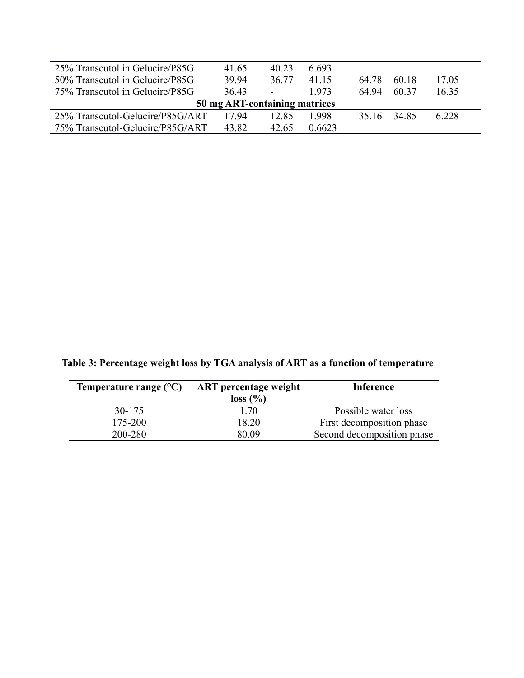| $25\%$ Transcutol in Gelucire/P85G | 41.65 | 40 23                    | 6.693  |       |       |       |  |  |
|------------------------------------|-------|--------------------------|--------|-------|-------|-------|--|--|
| 50% Transcutol in Gelucire/P85G    | 39.94 | 36.77                    | 41 15  | 64.78 | 60.18 | 17.05 |  |  |
| 75% Transcutol in Gelucire/P85G    | 36.43 | $\overline{\phantom{a}}$ | 1973   | 64.94 | 60.37 | 16.35 |  |  |
| 50 mg ART-containing matrices      |       |                          |        |       |       |       |  |  |
| 25% Transcutol-Gelucire/P85G/ART   | 1794  | 12.85                    | 1 998  | 35.16 | 3485  | 6.228 |  |  |
| 75% Transcutol-Gelucire/P85G/ART   | 43.82 | 42.65                    | 0.6623 |       |       |       |  |  |

**Table 3: Percentage weight loss by TGA analysis of ART as a function of temperature**

| Temperature range $(C)$ ART percentage weight | loss (%) | <b>Inference</b>           |
|-----------------------------------------------|----------|----------------------------|
| 30-175                                        | 1 70     | Possible water loss        |
| 175-200                                       | 18.20    | First decomposition phase  |
| 200-280                                       | 80.09    | Second decomposition phase |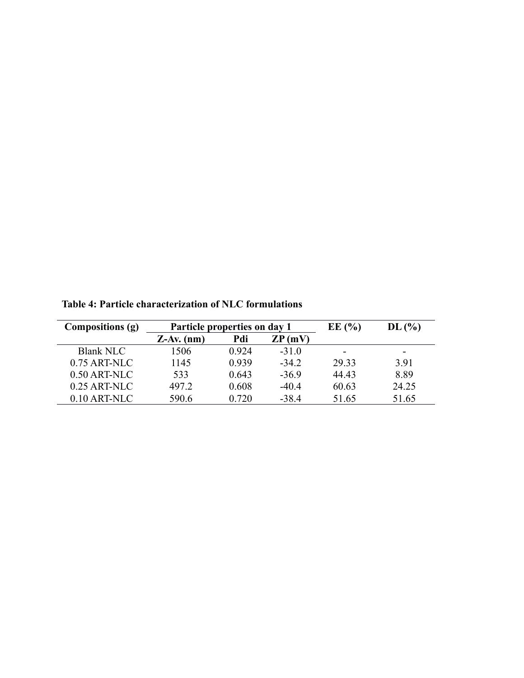| Compositions (g) | Particle properties on day 1 |                          | EE(%)   | DL(%)                    |       |
|------------------|------------------------------|--------------------------|---------|--------------------------|-------|
|                  | $Z-Av.$ (nm)                 | Pdi<br>$\mathbb{Z}P(mV)$ |         |                          |       |
| <b>Blank NLC</b> | 1506                         | 0.924                    | $-31.0$ | $\overline{\phantom{0}}$ |       |
| $0.75$ ART-NLC   | 1145                         | 0.939                    | $-34.2$ | 29.33                    | 391   |
| $0.50$ ART-NLC   | 533                          | 0.643                    | $-36.9$ | 44.43                    | 8.89  |
| $0.25$ ART-NLC   | 497.2                        | 0.608                    | $-40.4$ | 60.63                    | 24.25 |
| $0.10$ ART-NLC   | 590.6                        | 0.720                    | -38.4   | 51.65                    | 51.65 |

**Table 4: Particle characterization of NLC formulations**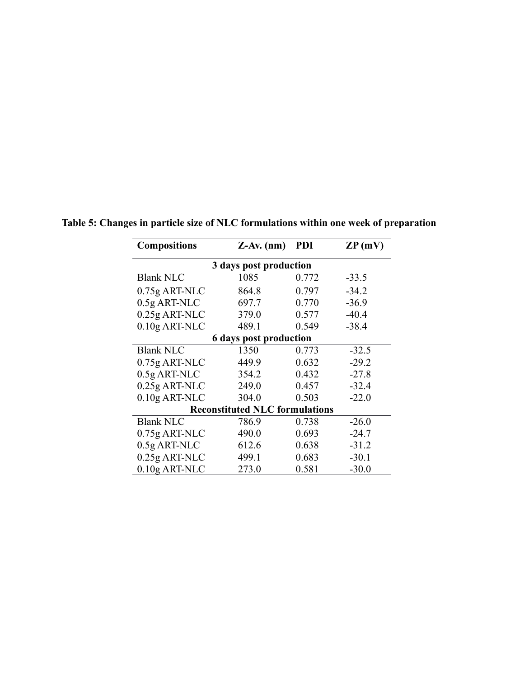| <b>Compositions</b>                   | $Z-Av.$ (nm) |       | $\mathbb{Z}P(mV)$ |  |  |  |  |  |
|---------------------------------------|--------------|-------|-------------------|--|--|--|--|--|
| 3 days post production                |              |       |                   |  |  |  |  |  |
| <b>Blank NLC</b>                      | 1085         | 0.772 | $-33.5$           |  |  |  |  |  |
| $0.75g$ ART-NLC                       | 864.8        | 0.797 | $-34.2$           |  |  |  |  |  |
| $0.5g$ ART-NLC                        | 697.7        | 0.770 | $-36.9$           |  |  |  |  |  |
| 0.25g ART-NLC                         | 379.0        | 0.577 | $-40.4$           |  |  |  |  |  |
| $0.10$ g ART-NLC                      | 489.1        | 0.549 | $-38.4$           |  |  |  |  |  |
| <b>6 days post production</b>         |              |       |                   |  |  |  |  |  |
| <b>Blank NLC</b>                      | 1350         | 0.773 | $-32.5$           |  |  |  |  |  |
| 0.75g ART-NLC                         | 449.9        | 0.632 | $-29.2$           |  |  |  |  |  |
| $0.5g$ ART-NLC                        | 354.2        | 0.432 | $-27.8$           |  |  |  |  |  |
| $0.25g$ ART-NLC                       | 249.0        | 0.457 | $-32.4$           |  |  |  |  |  |
| $0.10$ g ART-NLC                      | 304.0        | 0.503 | $-22.0$           |  |  |  |  |  |
| <b>Reconstituted NLC formulations</b> |              |       |                   |  |  |  |  |  |
| <b>Blank NLC</b>                      | 786.9        | 0.738 | $-26.0$           |  |  |  |  |  |
| $0.75g$ ART-NLC                       | 490.0        | 0.693 | $-24.7$           |  |  |  |  |  |
| 0.5g ART-NLC                          | 612.6        | 0.638 | $-31.2$           |  |  |  |  |  |
| 0.25g ART-NLC                         | 499.1        | 0.683 | $-30.1$           |  |  |  |  |  |
| $0.10$ g ART-NLC                      | 273.0        | 0.581 | $-30.0$           |  |  |  |  |  |

**Table 5: Changes in particle size of NLC formulations within one week of preparation**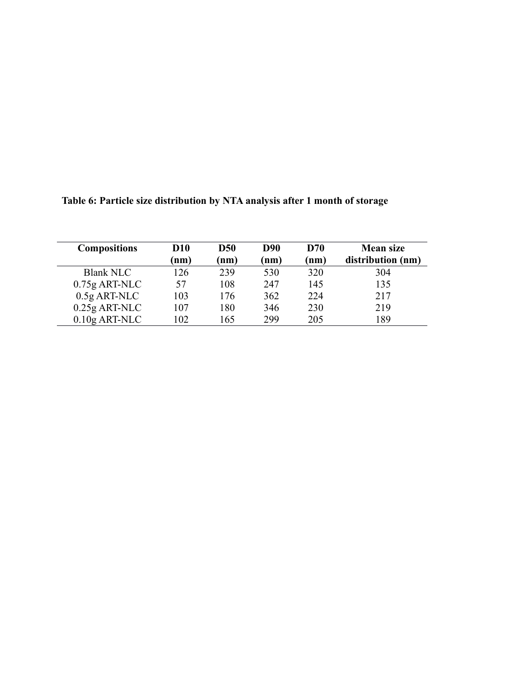| <b>Compositions</b> | <b>D10</b> | <b>D50</b> | <b>D90</b> | <b>D70</b> | <b>Mean size</b>  |
|---------------------|------------|------------|------------|------------|-------------------|
|                     | nm)        | (nm)       | (nm)       | (nm)       | distribution (nm) |
| <b>Blank NLC</b>    | 126        | 239        | 530        | 320        | 304               |
| $0.75g$ ART-NLC     | 57         | 108        | 247        | 145        | 135               |
| $0.5g$ ART-NLC      | 103        | 176        | 362        | 224        | 217               |
| $0.25g$ ART-NLC     | 107        | 180        | 346        | 230        | 219               |
| $0.10$ g ART-NLC    | 102        | 165        | 299        | 205        | 189               |

**Table 6: Particle size distribution by NTA analysis after 1 month of storage**